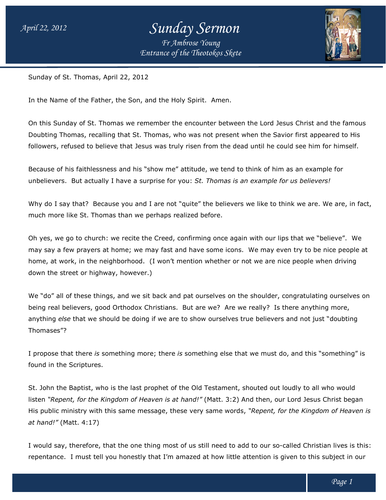# *Sunday Sermon*

*Entrance of the Theotokos Skete Fr Ambrose Young*



Sunday of St. Thomas, April 22, 2012 2012

In the Name of the Father, the Son, and the Holy Spirit. Amen.

On this Sunday of St. Thomas we remember the encounter between the Lord Jesus Christ and the famous Doubting Thomas, recalling that St. Thomas, who was not present when the Savior first appeared to His followers, refused to believe that Jesus was truly risen from the dead until he could see him for himself. Sunday of St. Thomas we remember the encounter between the Lord Jesus Christ and the f<br>g Thomas, recalling that St. Thomas, who was not present when the Savior first appeared to<br>s, refused to believe that Jesus was truly r

Because of his faithlessness and his "show me" attitude, we tend to think of him as an example for unbelievers. But actually I have a surprise for you: *s for us believers!*

Why do I say that? Because you and I are not "quite" the believers we like to think we are. We are, in fact, much more like St. Thomas than we perhaps realized before.

Oh yes, we go to church: we recite the Creed, confirming once again with our lips that we "believe". "believe". We Why do I say that? Because you and I are not "quite" the believers we like to think we are. We are, in fact<br>much more like St. Thomas than we perhaps realized before.<br>Oh yes, we go to church: we recite the Creed, confirmin home, at work, in the neighborhood. (I won't mention whether or not we are nice people when driving down the street or highway, however.)

We "do" all of these things, and we sit back and pat ourselves on the shoulder, congratulating ourselves on down the street or highway, however.)<br>We "do" all of these things, and we sit back and pat ourselves on the shoulder, congratulating ourselves on<br>being real believers, good Orthodox Christians. But are we? Are we really? anything *else* that we should be doing if we are to show ourselves true believers and not just "doubting Thomases"? anything *else* that we should be doing if we are to show ourselves true believers and not just "doubting<br>Thomases"?<br>I propose that there *is* something more; there *is* something else that we must do, and this "something" re some icons. We may even try to be nice people at<br>in whether or not we are nice people when driving<br>ourselves on the shoulder, congratulating ourselves or<br>ire we? Are we really? Is there anything more,<br>ow ourselves true

found in the Scriptures.

St. John the Baptist, who is the last prophet of the Old Testament, shouted out loudly to all who would listen "Repent, for the Kingdom of Heaven is at hand!" (Matt. 3:2) And then, our Lord Jesus Christ began His public ministry with this same message, these very same words, "Repent, for the Kingdom of Heaven is *at hand!"* (Matt. 4:17)

I would say, therefore, that the one thing most of us still need to add to our so-called Christian lives is this: repentance. I must tell you honestly that I'm amazed at how little attention is given to this subject in our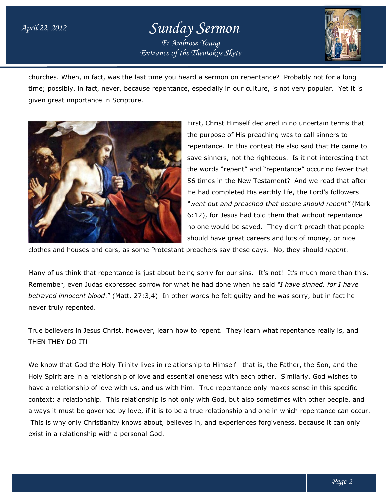#### *April 22, 2012*

### *Entrance of the Theotokos Skete Sunday Sermon Fr Ambrose Young*



churches. When, in fact, was the last time you heard a sermon on repentance? repentance? Probably not for a long time; possibly, in fact, never, because repentance, especially in our culture, is not very popular. Yet it is given great importance in Scripture.



First, Christ Himself declared in no uncertain terms that the purpose of His preaching was to call sinners to repentance. In this context He also said that He came to the purpose of His preaching was to call sinners to<br>repentance. In this context He also said that He came to<br>save sinners, not the righteous. Is it not interesting that the words "repent" and "repentance" occur no fewer that the words "repent" and "repentance" occur no fewer that<br>56 times in the New Testament? And we read that after He had completed His earthly life, the Lord's followers *"went out and preached that peop "went and preached people should repent"* (Mark 6:12), for Jesus had told them that without repentance no one would be saved. They didn't preach that people should have great careers and lots of money, or nice 6:12), for Jesus had told them that without repentance<br>no one would be saved. They didn't preach that people<br>should have great careers and lots of money, or nice

clothes and houses and cars, as some Protestant preachers say these d days. No, they should *repent*.

Many of us think that repentance is just about being sorry for our sins. It's not! It's much more than this. Remember, even Judas expressed sorrow for what he had done when he said "I have sinned, for I have betrayed innocent blood." (Matt. 27:3,4) In other words he felt guilty and he was sorry, but in fact he never truly repented.

True believers in Jesus Christ, however, learn how to repent. They learn what repentance really is, and THEN THEY DO IT!

We know that God the Holy Trinity lives in relationship to Himself—that is, the Father, the Son, and the Holy Spirit are in a relationship of love and essential oneness with each other. Similarly, God wishes to have a relationship of love with us, and us with him. True repentance only makes sense in this specific context: a relationship. This relationship is not only with God, but also sometimes with other people, and context: a relationship. This relationship is not only with God, but also sometimes with other people, and<br>always it must be governed by love, if it is to be a true relationship and one in which repentance can occur. This is why only Christianity knows about, believes in, and experiences forgiveness, because it can only<br>:xist in a relationship with a personal God. exist in a relationship with a personal God.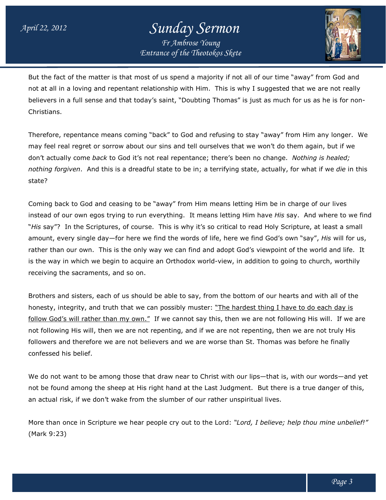## *Entrance of the Theotokos Skete Sunday Sermon Fr Ambrose Young*



But the fact of the matter is that most of us spend a majority if not all of our time "away" from God and But the fact of the matter is that most of us spend a majority if not all of our time "away" from God and<br>not at all in a loving and repentant relationship with Him. This is why I suggested that we are not really not at all in a loving and repentant relationship with Him. This is why I suggested that we are not really<br>believers in a full sense and that today's saint, "Doubting Thomas" is just as much for us as he is for non-Christians.

Therefore, repentance means coming "back" to God and refusing to stay "away" from Him any longer. may feel real regret or sorrow about our sins and tell ourselves that we won't do them again, but if we don't actually come *back* to God it's not real repentance; there's *Nothing is healed; nothing forgiven*. And this is a dreadful state to be in; a terrifying state, actually, for what if we *die* in this state? believers in a full sense and that today's saint, "Doubting Thomas" is just as much for us as he is<br>Christians.<br>Therefore, repentance means coming "back" to God and refusing to stay "away" from Him any lor<br>may feel real re longer. We

Coming back to God and ceasing to be "away" from Him means letting Him be in charge of our lives Coming back to God and ceasing to be "away" from Him means letting Him be in charge of our lives<br>instead of our own egos trying to run everything. It means letting Him have *His* say. And where to we find "His say"? In the Scriptures, of course. This is why it's so critical to read Holy Scripture, at least a small amount, every single day—for here we find the words of life, here we find God's own "say", *His* will for us, rather than our own. This is the only way we can find and adopt God's viewpoint of the world and life. is the way in which we begin to acquire an Orthodox world-view, in addition to going to church, worthily receiving the sacraments, and so on. rery single day—for here we find the words of life, here we find God's own "say", *His* will for us<br>I our own. This is the only way we can find and adopt God's viewpoint of the world and life. I<br>in which we begin to acqu life. It

Brothers and sisters, each of us should be able to say, from the bottom of our hearts and with all of the receiving the sacraments, and so on.<br>Brothers and sisters, each of us should be able to say, from the bottom of our hearts and with all of th<br>honesty, integrity, and truth that we can possibly muster: <u>"The hardest thing I</u> honesty, integrity, and truth that we can possibly muster: <u>"The hardest thing I have to do each day is</u><br><u>follow God's will rather than my own."</u> If we cannot say this, then we are not following His will. If we are not following His will, then we are not repenting, and if we are not repenting, then we are not truly His not following His will, then we are not repenting, and if we are not repenting, then we are not truly His<br>followers and therefore we are not believers and we are worse than St. Thomas was before he finally confessed his belief.

We do not want to be among those that draw near to Christ with our lips—that is, with our words—and yet not be found among the sheep at His right hand at the Last Judgment. But there is a true danger of this, an actual risk, if we don't wake from the slumber of our rather unspiritual lives.

an actual risk, if we don't wake from the slumber of our rather unspiritual lives.<br>More than once in Scripture we hear people cry out to the Lord: "*Lord, I believe; help thou mine unbelief!"* (Mark 9:23)